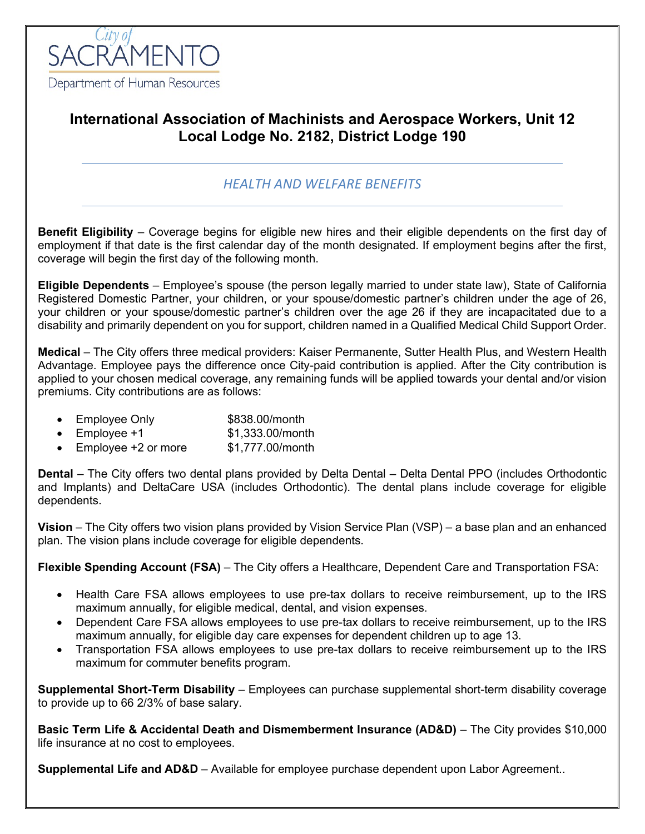

# **International Association of Machinists and Aerospace Workers, Unit 12 Local Lodge No. 2182, District Lodge 190**

# *HEALTH AND WELFARE BENEFITS*

**Benefit Eligibility** – Coverage begins for eligible new hires and their eligible dependents on the first day of employment if that date is the first calendar day of the month designated. If employment begins after the first, coverage will begin the first day of the following month.

**Eligible Dependents** – Employee's spouse (the person legally married to under state law), State of California Registered Domestic Partner, your children, or your spouse/domestic partner's children under the age of 26, your children or your spouse/domestic partner's children over the age 26 if they are incapacitated due to a disability and primarily dependent on you for support, children named in a Qualified Medical Child Support Order.

**Medical** – The City offers three medical providers: Kaiser Permanente, Sutter Health Plus, and Western Health Advantage. Employee pays the difference once City-paid contribution is applied. After the City contribution is applied to your chosen medical coverage, any remaining funds will be applied towards your dental and/or vision premiums. City contributions are as follows:

- Employee Only \$838.00/month
- Employee  $+1$  \$1,333.00/month
- Employee +2 or more \$1,777.00/month

**Dental** – The City offers two dental plans provided by Delta Dental – Delta Dental PPO (includes Orthodontic and Implants) and DeltaCare USA (includes Orthodontic). The dental plans include coverage for eligible dependents.

**Vision** – The City offers two vision plans provided by Vision Service Plan (VSP) – a base plan and an enhanced plan. The vision plans include coverage for eligible dependents.

**Flexible Spending Account (FSA)** – The City offers a Healthcare, Dependent Care and Transportation FSA:

- Health Care FSA allows employees to use pre-tax dollars to receive reimbursement, up to the IRS maximum annually, for eligible medical, dental, and vision expenses.
- Dependent Care FSA allows employees to use pre-tax dollars to receive reimbursement, up to the IRS maximum annually, for eligible day care expenses for dependent children up to age 13.
- Transportation FSA allows employees to use pre-tax dollars to receive reimbursement up to the IRS maximum for commuter benefits program.

**Supplemental Short-Term Disability** – Employees can purchase supplemental short-term disability coverage to provide up to 66 2/3% of base salary.

**Basic Term Life & Accidental Death and Dismemberment Insurance (AD&D)** – The City provides \$10,000 life insurance at no cost to employees.

**Supplemental Life and AD&D** – Available for employee purchase dependent upon Labor Agreement..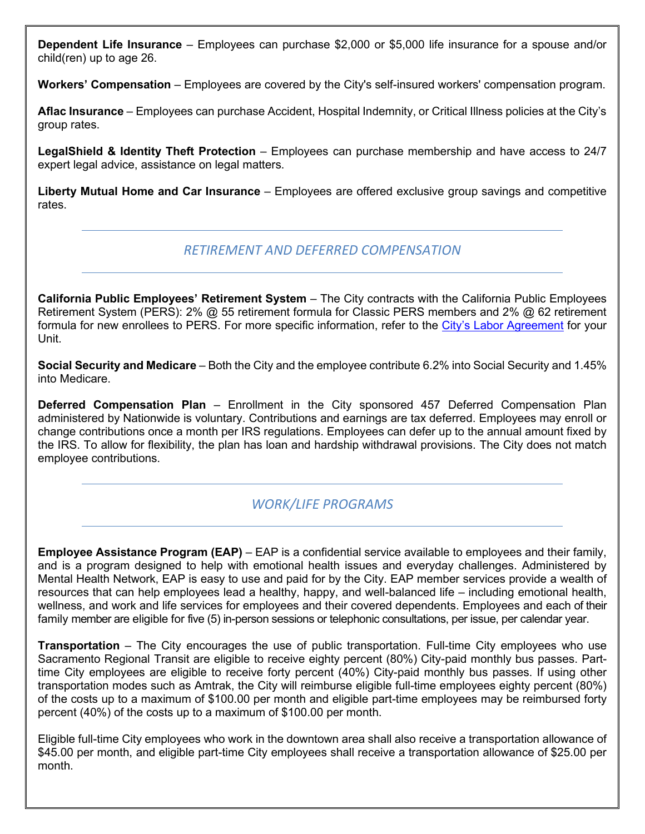**Dependent Life Insurance** – Employees can purchase \$2,000 or \$5,000 life insurance for a spouse and/or child(ren) up to age 26.

**Workers' Compensation** – Employees are covered by the City's self-insured workers' compensation program.

**Aflac Insurance** – Employees can purchase Accident, Hospital Indemnity, or Critical Illness policies at the City's group rates.

**LegalShield & Identity Theft Protection** – Employees can purchase membership and have access to 24/7 expert legal advice, assistance on legal matters.

**Liberty Mutual Home and Car Insurance** – Employees are offered exclusive group savings and competitive rates.

### *RETIREMENT AND DEFERRED COMPENSATION*

**California Public Employees' Retirement System** – The City contracts with the California Public Employees Retirement System (PERS): 2% @ 55 retirement formula for Classic PERS members and 2% @ 62 retirement formula for new enrollees to PERS. For more specific information, refer to the [City's Labor Agreement](http://www.cityofsacramento.org/HR/Divisions/Labor-Relations/Labor-Agreements) for your Unit.

**Social Security and Medicare** – Both the City and the employee contribute 6.2% into Social Security and 1.45% into Medicare.

**Deferred Compensation Plan** – Enrollment in the City sponsored 457 Deferred Compensation Plan administered by Nationwide is voluntary. Contributions and earnings are tax deferred. Employees may enroll or change contributions once a month per IRS regulations. Employees can defer up to the annual amount fixed by the IRS. To allow for flexibility, the plan has loan and hardship withdrawal provisions. The City does not match employee contributions.

# *WORK/LIFE PROGRAMS*

**Employee Assistance Program (EAP)** – EAP is a confidential service available to employees and their family, and is a program designed to help with emotional health issues and everyday challenges. Administered by Mental Health Network, EAP is easy to use and paid for by the City. EAP member services provide a wealth of resources that can help employees lead a healthy, happy, and well-balanced life – including emotional health, wellness, and work and life services for employees and their covered dependents. Employees and each of their family member are eligible for five (5) in-person sessions or telephonic consultations, per issue, per calendar year.

**Transportation** – The City encourages the use of public transportation. Full-time City employees who use Sacramento Regional Transit are eligible to receive eighty percent (80%) City-paid monthly bus passes. Parttime City employees are eligible to receive forty percent (40%) City-paid monthly bus passes. If using other transportation modes such as Amtrak, the City will reimburse eligible full-time employees eighty percent (80%) of the costs up to a maximum of \$100.00 per month and eligible part-time employees may be reimbursed forty percent (40%) of the costs up to a maximum of \$100.00 per month.

Eligible full-time City employees who work in the downtown area shall also receive a transportation allowance of \$45.00 per month, and eligible part-time City employees shall receive a transportation allowance of \$25.00 per month.